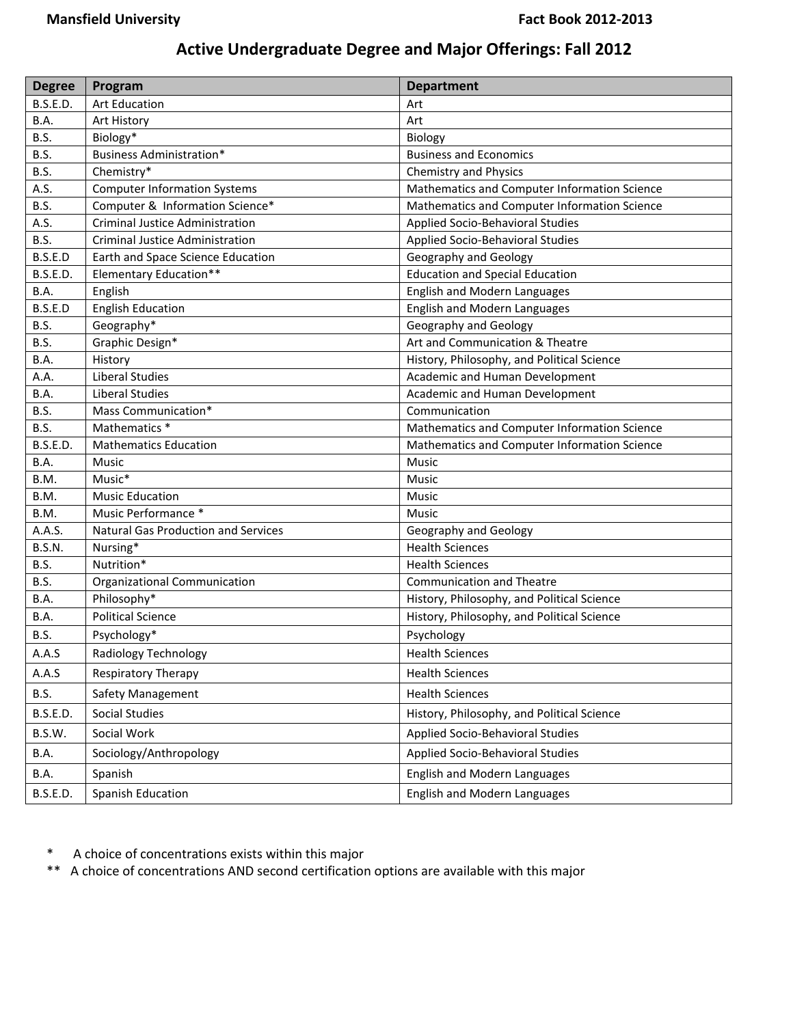## **Active Undergraduate Degree and Major Offerings: Fall 2012**

| <b>Degree</b>   | Program                                | <b>Department</b>                            |
|-----------------|----------------------------------------|----------------------------------------------|
| <b>B.S.E.D.</b> | <b>Art Education</b>                   | Art                                          |
| B.A.            | Art History                            | Art                                          |
| B.S.            | Biology*                               | Biology                                      |
| B.S.            | <b>Business Administration*</b>        | <b>Business and Economics</b>                |
| B.S.            | Chemistry*                             | <b>Chemistry and Physics</b>                 |
| A.S.            | <b>Computer Information Systems</b>    | Mathematics and Computer Information Science |
| B.S.            | Computer & Information Science*        | Mathematics and Computer Information Science |
| A.S.            | <b>Criminal Justice Administration</b> | Applied Socio-Behavioral Studies             |
| B.S.            | Criminal Justice Administration        | Applied Socio-Behavioral Studies             |
| B.S.E.D         | Earth and Space Science Education      | Geography and Geology                        |
| <b>B.S.E.D.</b> | <b>Elementary Education**</b>          | <b>Education and Special Education</b>       |
| <b>B.A.</b>     | English                                | English and Modern Languages                 |
| B.S.E.D         | <b>English Education</b>               | English and Modern Languages                 |
| B.S.            | Geography*                             | Geography and Geology                        |
| B.S.            | Graphic Design*                        | Art and Communication & Theatre              |
| B.A.            | History                                | History, Philosophy, and Political Science   |
| A.A.            | <b>Liberal Studies</b>                 | Academic and Human Development               |
| B.A.            | Liberal Studies                        | Academic and Human Development               |
| B.S.            | Mass Communication*                    | Communication                                |
| B.S.            | Mathematics *                          | Mathematics and Computer Information Science |
| <b>B.S.E.D.</b> | <b>Mathematics Education</b>           | Mathematics and Computer Information Science |
| B.A.            | Music                                  | Music                                        |
| B.M.            | Music*                                 | Music                                        |
| B.M.            | <b>Music Education</b>                 | Music                                        |
| B.M.            | Music Performance *                    | <b>Music</b>                                 |
| A.A.S.          | Natural Gas Production and Services    | Geography and Geology                        |
| <b>B.S.N.</b>   | Nursing*                               | <b>Health Sciences</b>                       |
| B.S.            | Nutrition*                             | <b>Health Sciences</b>                       |
| B.S.            | Organizational Communication           | <b>Communication and Theatre</b>             |
| B.A.            | Philosophy*                            | History, Philosophy, and Political Science   |
| B.A.            | <b>Political Science</b>               | History, Philosophy, and Political Science   |
| B.S.            | Psychology*                            | Psychology                                   |
| A.A.S           | Radiology Technology                   | <b>Health Sciences</b>                       |
| A.A.S           | <b>Respiratory Therapy</b>             | <b>Health Sciences</b>                       |
| <b>B.S.</b>     | <b>Safety Management</b>               | <b>Health Sciences</b>                       |
| <b>B.S.E.D.</b> | Social Studies                         | History, Philosophy, and Political Science   |
| B.S.W.          | Social Work                            | Applied Socio-Behavioral Studies             |
| B.A.            | Sociology/Anthropology                 | Applied Socio-Behavioral Studies             |
| B.A.            | Spanish                                | English and Modern Languages                 |
| <b>B.S.E.D.</b> | Spanish Education                      | English and Modern Languages                 |

\* A choice of concentrations exists within this major

\*\* A choice of concentrations AND second certification options are available with this major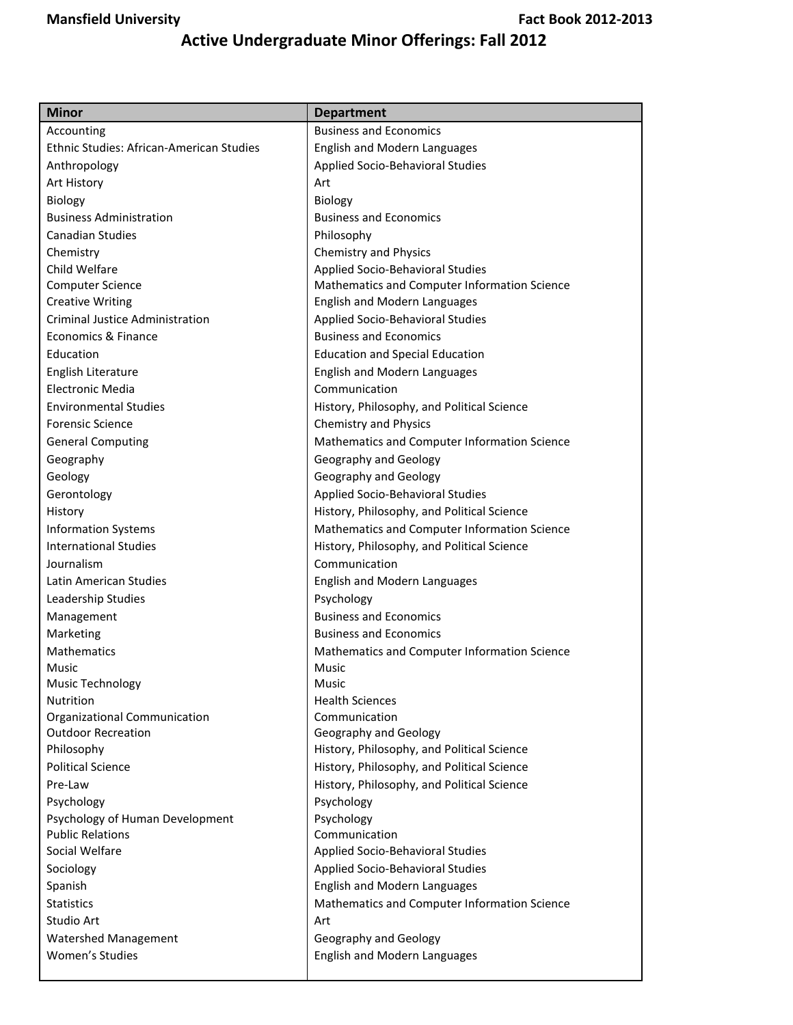## **Active Undergraduate Minor Offerings: Fall 2012**

| <b>Minor</b>                             | <b>Department</b>                            |  |
|------------------------------------------|----------------------------------------------|--|
| Accounting                               | <b>Business and Economics</b>                |  |
| Ethnic Studies: African-American Studies | English and Modern Languages                 |  |
| Anthropology                             | Applied Socio-Behavioral Studies             |  |
| Art History                              | Art                                          |  |
| Biology                                  | Biology                                      |  |
| <b>Business Administration</b>           | <b>Business and Economics</b>                |  |
| <b>Canadian Studies</b>                  | Philosophy                                   |  |
| Chemistry                                | <b>Chemistry and Physics</b>                 |  |
| Child Welfare                            | Applied Socio-Behavioral Studies             |  |
| <b>Computer Science</b>                  | Mathematics and Computer Information Science |  |
| <b>Creative Writing</b>                  | English and Modern Languages                 |  |
| <b>Criminal Justice Administration</b>   | Applied Socio-Behavioral Studies             |  |
| Economics & Finance                      | <b>Business and Economics</b>                |  |
| Education                                | <b>Education and Special Education</b>       |  |
| English Literature                       | <b>English and Modern Languages</b>          |  |
| Electronic Media                         | Communication                                |  |
| <b>Environmental Studies</b>             | History, Philosophy, and Political Science   |  |
| <b>Forensic Science</b>                  | <b>Chemistry and Physics</b>                 |  |
| <b>General Computing</b>                 | Mathematics and Computer Information Science |  |
| Geography                                | Geography and Geology                        |  |
| Geology                                  | Geography and Geology                        |  |
| Gerontology                              | Applied Socio-Behavioral Studies             |  |
| History                                  | History, Philosophy, and Political Science   |  |
| <b>Information Systems</b>               | Mathematics and Computer Information Science |  |
| <b>International Studies</b>             | History, Philosophy, and Political Science   |  |
| Journalism                               | Communication                                |  |
| Latin American Studies                   | English and Modern Languages                 |  |
| Leadership Studies                       | Psychology                                   |  |
| Management                               | <b>Business and Economics</b>                |  |
| Marketing                                | <b>Business and Economics</b>                |  |
| Mathematics                              | Mathematics and Computer Information Science |  |
| Music                                    | Music                                        |  |
| Music Technology                         | Music                                        |  |
| Nutrition                                | <b>Health Sciences</b>                       |  |
| Organizational Communication             | Communication                                |  |
| <b>Outdoor Recreation</b>                | Geography and Geology                        |  |
| Philosophy                               | History, Philosophy, and Political Science   |  |
| <b>Political Science</b>                 | History, Philosophy, and Political Science   |  |
| Pre-Law                                  | History, Philosophy, and Political Science   |  |
| Psychology                               | Psychology                                   |  |
| Psychology of Human Development          | Psychology                                   |  |
| <b>Public Relations</b>                  | Communication                                |  |
| Social Welfare                           | Applied Socio-Behavioral Studies             |  |
| Sociology                                | Applied Socio-Behavioral Studies             |  |
| Spanish                                  | English and Modern Languages                 |  |
| <b>Statistics</b>                        | Mathematics and Computer Information Science |  |
| Studio Art                               | Art                                          |  |
| <b>Watershed Management</b>              | Geography and Geology                        |  |
| Women's Studies                          | <b>English and Modern Languages</b>          |  |